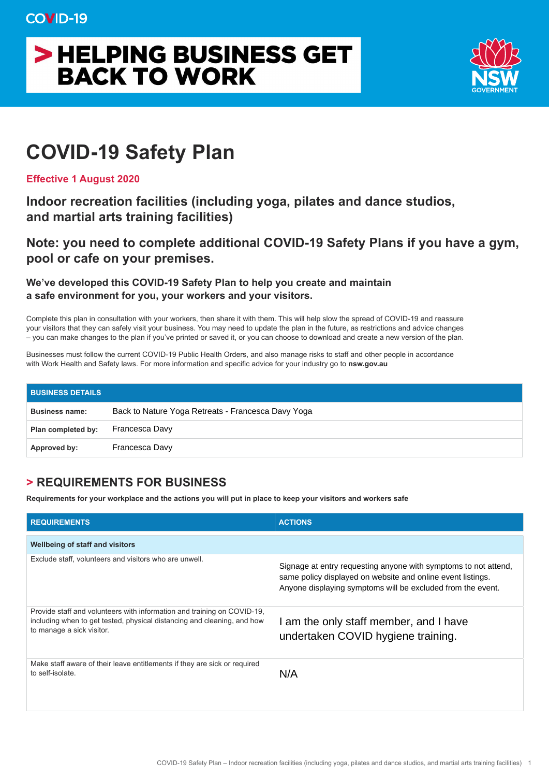## > HELPING BUSINESS GET **BACK TO WORK**



## **COVID-19 Safety Plan**

**Effective 1 August 2020** 

**Indoor recreation facilities (including yoga, pilates and dance studios, and martial arts training facilities)** 

**Note: you need to complete additional COVID-19 Safety Plans if you have a gym, pool or cafe on your premises.** 

**We've developed this COVID-19 Safety Plan to help you create and maintain a safe environment for you, your workers and your visitors.** 

Complete this plan in consultation with your workers, then share it with them. This will help slow the spread of COVID-19 and reassure your visitors that they can safely visit your business. You may need to update the plan in the future, as restrictions and advice changes – you can make changes to the plan if you've printed or saved it, or you can choose to download and create a new version of the plan.

Businesses must follow the current COVID-19 Public Health Orders, and also manage risks to staff and other people in accordance with Work Health and Safety laws. For more information and specific advice for your industry go to **nsw.gov.au** 

| <b>BUSINESS DETAILS</b> |                                                    |
|-------------------------|----------------------------------------------------|
| <b>Business name:</b>   | Back to Nature Yoga Retreats - Francesca Davy Yoga |
| Plan completed by:      | Francesca Davy                                     |
| Approved by:            | Francesca Davy                                     |

## **> REQUIREMENTS FOR BUSINESS**

**Requirements for your workplace and the actions you will put in place to keep your visitors and workers safe** 

| <b>REQUIREMENTS</b>                                                                                                                                                             | <b>ACTIONS</b>                                                                                                                                                                                |
|---------------------------------------------------------------------------------------------------------------------------------------------------------------------------------|-----------------------------------------------------------------------------------------------------------------------------------------------------------------------------------------------|
| <b>Wellbeing of staff and visitors</b>                                                                                                                                          |                                                                                                                                                                                               |
| Exclude staff, volunteers and visitors who are unwell.                                                                                                                          | Signage at entry requesting anyone with symptoms to not attend,<br>same policy displayed on website and online event listings.<br>Anyone displaying symptoms will be excluded from the event. |
| Provide staff and volunteers with information and training on COVID-19.<br>including when to get tested, physical distancing and cleaning, and how<br>to manage a sick visitor. | am the only staff member, and I have<br>undertaken COVID hygiene training.                                                                                                                    |
| Make staff aware of their leave entitlements if they are sick or required<br>to self-isolate.                                                                                   | N/A                                                                                                                                                                                           |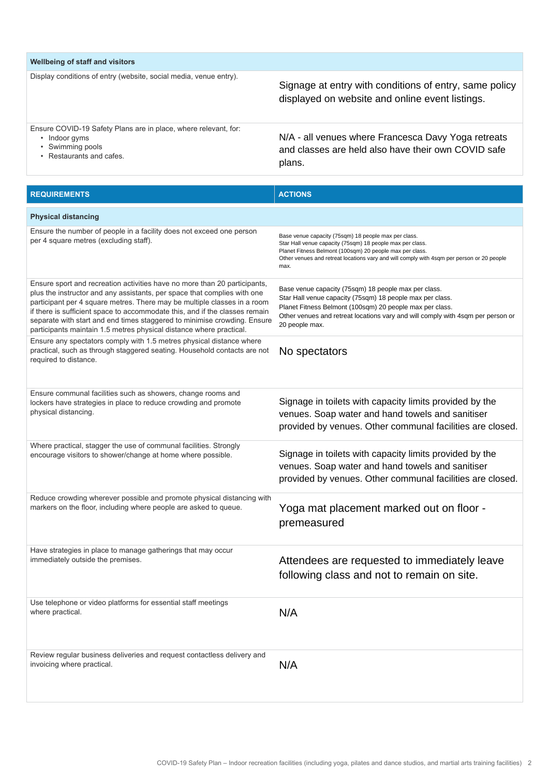| Wellbeing of staff and visitors                                                                                                           |                                                                                                                      |  |  |  |
|-------------------------------------------------------------------------------------------------------------------------------------------|----------------------------------------------------------------------------------------------------------------------|--|--|--|
| Display conditions of entry (website, social media, venue entry).                                                                         | Signage at entry with conditions of entry, same policy<br>displayed on website and online event listings.            |  |  |  |
| Ensure COVID-19 Safety Plans are in place, where relevant, for:<br>Indoor gyms<br>$\bullet$<br>Swimming pools<br>• Restaurants and cafes. | N/A - all venues where Francesca Davy Yoga retreats<br>and classes are held also have their own COVID safe<br>plans. |  |  |  |

| <b>REQUIREMENTS</b>                                                                                                                                                                                                                                                                                                                                                                                                                                                 | <b>ACTIONS</b>                                                                                                                                                                                                                                                                     |
|---------------------------------------------------------------------------------------------------------------------------------------------------------------------------------------------------------------------------------------------------------------------------------------------------------------------------------------------------------------------------------------------------------------------------------------------------------------------|------------------------------------------------------------------------------------------------------------------------------------------------------------------------------------------------------------------------------------------------------------------------------------|
| <b>Physical distancing</b>                                                                                                                                                                                                                                                                                                                                                                                                                                          |                                                                                                                                                                                                                                                                                    |
| Ensure the number of people in a facility does not exceed one person<br>per 4 square metres (excluding staff).                                                                                                                                                                                                                                                                                                                                                      | Base venue capacity (75sqm) 18 people max per class.<br>Star Hall venue capacity (75sqm) 18 people max per class.<br>Planet Fitness Belmont (100sqm) 20 people max per class.<br>Other venues and retreat locations vary and will comply with 4sqm per person or 20 people<br>max. |
| Ensure sport and recreation activities have no more than 20 participants,<br>plus the instructor and any assistants, per space that complies with one<br>participant per 4 square metres. There may be multiple classes in a room<br>if there is sufficient space to accommodate this, and if the classes remain<br>separate with start and end times staggered to minimise crowding. Ensure<br>participants maintain 1.5 metres physical distance where practical. | Base venue capacity (75sqm) 18 people max per class.<br>Star Hall venue capacity (75sqm) 18 people max per class.<br>Planet Fitness Belmont (100sqm) 20 people max per class.<br>Other venues and retreat locations vary and will comply with 4sqm per person or<br>20 people max. |
| Ensure any spectators comply with 1.5 metres physical distance where<br>practical, such as through staggered seating. Household contacts are not<br>required to distance.                                                                                                                                                                                                                                                                                           | No spectators                                                                                                                                                                                                                                                                      |
| Ensure communal facilities such as showers, change rooms and<br>lockers have strategies in place to reduce crowding and promote<br>physical distancing.                                                                                                                                                                                                                                                                                                             | Signage in toilets with capacity limits provided by the<br>venues. Soap water and hand towels and sanitiser<br>provided by venues. Other communal facilities are closed.                                                                                                           |
| Where practical, stagger the use of communal facilities. Strongly<br>encourage visitors to shower/change at home where possible.                                                                                                                                                                                                                                                                                                                                    | Signage in toilets with capacity limits provided by the<br>venues. Soap water and hand towels and sanitiser<br>provided by venues. Other communal facilities are closed.                                                                                                           |
| Reduce crowding wherever possible and promote physical distancing with<br>markers on the floor, including where people are asked to queue.                                                                                                                                                                                                                                                                                                                          | Yoga mat placement marked out on floor -<br>premeasured                                                                                                                                                                                                                            |
| Have strategies in place to manage gatherings that may occur<br>immediately outside the premises.                                                                                                                                                                                                                                                                                                                                                                   | Attendees are requested to immediately leave<br>following class and not to remain on site.                                                                                                                                                                                         |
| Use telephone or video platforms for essential staff meetings<br>where practical.                                                                                                                                                                                                                                                                                                                                                                                   | N/A                                                                                                                                                                                                                                                                                |
| Review regular business deliveries and request contactless delivery and<br>invoicing where practical.                                                                                                                                                                                                                                                                                                                                                               | N/A                                                                                                                                                                                                                                                                                |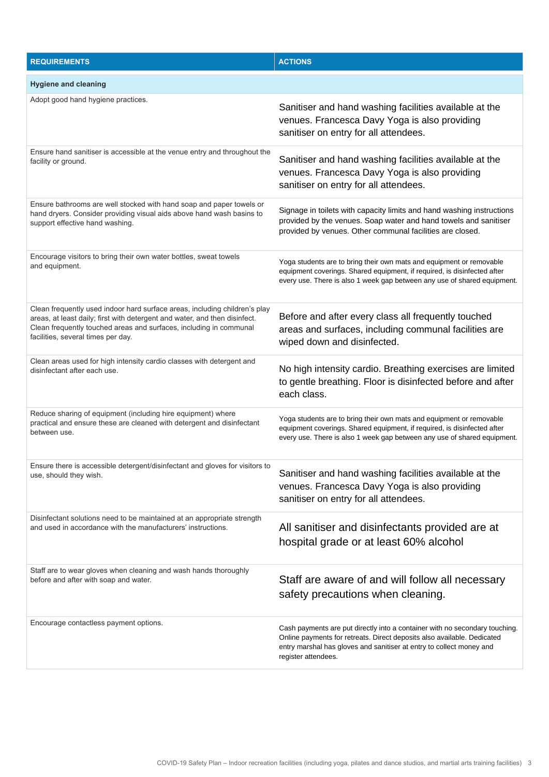| <b>REQUIREMENTS</b>                                                                                                                                                                                                                                                  | <b>ACTIONS</b>                                                                                                                                                                                                                                        |  |  |  |
|----------------------------------------------------------------------------------------------------------------------------------------------------------------------------------------------------------------------------------------------------------------------|-------------------------------------------------------------------------------------------------------------------------------------------------------------------------------------------------------------------------------------------------------|--|--|--|
| <b>Hygiene and cleaning</b>                                                                                                                                                                                                                                          |                                                                                                                                                                                                                                                       |  |  |  |
| Adopt good hand hygiene practices.                                                                                                                                                                                                                                   | Sanitiser and hand washing facilities available at the<br>venues. Francesca Davy Yoga is also providing<br>sanitiser on entry for all attendees.                                                                                                      |  |  |  |
| Ensure hand sanitiser is accessible at the venue entry and throughout the<br>facility or ground.                                                                                                                                                                     | Sanitiser and hand washing facilities available at the<br>venues. Francesca Davy Yoga is also providing<br>sanitiser on entry for all attendees.                                                                                                      |  |  |  |
| Ensure bathrooms are well stocked with hand soap and paper towels or<br>hand dryers. Consider providing visual aids above hand wash basins to<br>support effective hand washing.                                                                                     | Signage in toilets with capacity limits and hand washing instructions<br>provided by the venues. Soap water and hand towels and sanitiser<br>provided by venues. Other communal facilities are closed.                                                |  |  |  |
| Encourage visitors to bring their own water bottles, sweat towels<br>and equipment.                                                                                                                                                                                  | Yoga students are to bring their own mats and equipment or removable<br>equipment coverings. Shared equipment, if required, is disinfected after<br>every use. There is also 1 week gap between any use of shared equipment.                          |  |  |  |
| Clean frequently used indoor hard surface areas, including children's play<br>areas, at least daily; first with detergent and water, and then disinfect.<br>Clean frequently touched areas and surfaces, including in communal<br>facilities, several times per day. | Before and after every class all frequently touched<br>areas and surfaces, including communal facilities are<br>wiped down and disinfected.                                                                                                           |  |  |  |
| Clean areas used for high intensity cardio classes with detergent and<br>disinfectant after each use.                                                                                                                                                                | No high intensity cardio. Breathing exercises are limited<br>to gentle breathing. Floor is disinfected before and after<br>each class.                                                                                                                |  |  |  |
| Reduce sharing of equipment (including hire equipment) where<br>practical and ensure these are cleaned with detergent and disinfectant<br>between use.                                                                                                               | Yoga students are to bring their own mats and equipment or removable<br>equipment coverings. Shared equipment, if required, is disinfected after<br>every use. There is also 1 week gap between any use of shared equipment.                          |  |  |  |
| Ensure there is accessible detergent/disinfectant and gloves for visitors to<br>use, should they wish.                                                                                                                                                               | Sanitiser and hand washing facilities available at the<br>venues. Francesca Davy Yoga is also providing<br>sanitiser on entry for all attendees.                                                                                                      |  |  |  |
| Disinfectant solutions need to be maintained at an appropriate strength<br>and used in accordance with the manufacturers' instructions.                                                                                                                              | All sanitiser and disinfectants provided are at<br>hospital grade or at least 60% alcohol                                                                                                                                                             |  |  |  |
| Staff are to wear gloves when cleaning and wash hands thoroughly<br>before and after with soap and water.                                                                                                                                                            | Staff are aware of and will follow all necessary<br>safety precautions when cleaning.                                                                                                                                                                 |  |  |  |
| Encourage contactless payment options.                                                                                                                                                                                                                               | Cash payments are put directly into a container with no secondary touching.<br>Online payments for retreats. Direct deposits also available. Dedicated<br>entry marshal has gloves and sanitiser at entry to collect money and<br>register attendees. |  |  |  |